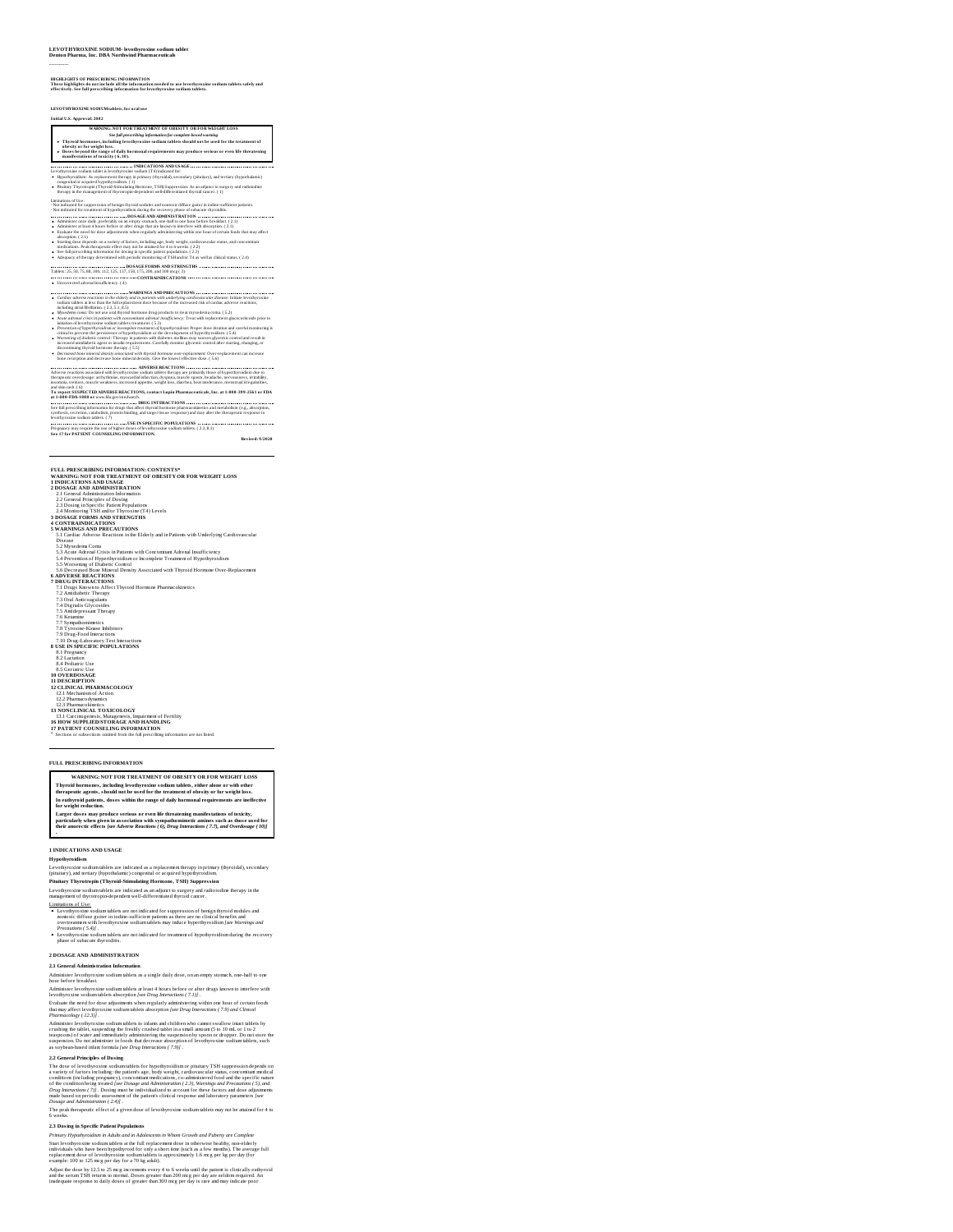# **LEVOTHYROXINE SODIUM- levothyroxine sodium tablet Denton Pharma, Inc. DBA Northwind Pharmaceuticals**

### ----------

HIGHLIGHTS OF PRESCRIBING INFORMATION<br>These highlights do not include all the information needed to use levothyroxine sodium tablets safely and<br>effectively. See full prescribing information for levothyroxine sodium tablets

**LEVOTHYROXINE SODIUMtablets, for oral use**

# **Initial U.S. Approval: 2002**

| WARNING: NOT FOR TREATMENT OF ORESITY OR FOR WEIGHT LOSS.                                                                                                                                                                                                                      |
|--------------------------------------------------------------------------------------------------------------------------------------------------------------------------------------------------------------------------------------------------------------------------------|
| See full prescribing information for complete boxed warning                                                                                                                                                                                                                    |
| . Thyroid hormones, including levothyroxine sodium tablets should not be used for the treatment of<br>obesity or for weight loss.<br>Doses beyond the range of daily hormonal requirements may produce serious or even life threatening<br>manifestations of toxicity (6, 10). |

# $\begin{minipage}[t]{.0\textwidth}\begin{minipage}[t]{.0\textwidth}\begin{center} \begin{minipage}[t]{.0\textwidth}\begin{center} \begin{minipage}[t]{.0\textwidth}\begin{center} \begin{minipage}[t]{.0\textwidth}\begin{center} \begin{minipage}[t]{.0\textwidth}\begin{center} \begin{minipage}[t]{.0\textwidth}\begin{center} \begin{minipage}[t]{.0\textwidth}\begin{center} \begin{minipage}[t]{.0\textwidth}\begin{center} \begin{minipage}[t]{.0\textwidth}\begin{center} \begin{minipage}[t]{.0\textwidth}\begin{center} \begin{minipage}[t]{.0\textwidth}\begin{$

Limitation of the:<br>
"Some the temperature of being through the other parameters of these generals the controlled temperature of<br>
"Some temperature" (and the controlled temperature of the controlled temperature<br>
"Administe

Starting dose depends on a variety of factors, including age, body weight, cardiovascular status, and concomitant<br>medications. Peak therapeutic effort may not be attained for 4 to 6 weeks. ( 2.2)<br>See full prescribing infor

Adequacy of therapy determined with periodic monitoring of TSHand/or T4 as well as clinicalstatus. ( 2.4) **DOSAGE FORMS AND STRENGTHS** Tablets: 25, 50, 75, 88, 100, 112, 125, 137, 150, 175, 200, and 300 mcg (3) **CONTRAINDICATIONS** Uncorrected adrenal insufficiency. ( 4)

- 
- 
- Contraction and the state of the state of the state of the state of the state of the state is a state of the state of the state of the state of the state of the state of the state of the state of the state of the state of
- 
- 

**ADVERSE REACTIONS** Adverse reactions associated with levothyroxine sodium tablets therapy are primarily those of hyperthyroidism due to therapeutic overdosage: arrhythmias, myocardial infarction, dyspnea, muscle spasm, headache, nervousness, irritability,

intomals, toreson, must be welsens, koreastel apertis, en tight best distributed in the aperture and the state of the state of the state of the state of the state of the state of the state of the state of the state of the

FULL PRESCRIBING INFORMATION: CONTESTS?<br>
WARRING INTO THE ATTENT OF OBSETY OR FOR WEIGHT LOSS<br>
2.1 General Admissimation information<br>
2.1 General Admissimation information<br>
2.1 General Admissimation information<br>
2.1 Genera **DRUG KYEEKACTIONS<br>
DRUG KYEEKACTIONS<br>
7.1 Drug Koawarus Affect Thyroid Hormore Pharmacokineics<br>
7.3 Drug Koawarus Affect Thyroid<br>
7.4 Drig Malico Gyocoides<br>
7.4 Digitalis Glycosides<br>
7.5 Drug Malico Gyocoides<br>
7.7 Dry Sym 8 USE IN SPECIFIC POPULATIONS**

8.1 Pregnancy 8.2 Lactation 8.4 Pediatric Use 8 Scriittis Use<br>10 Scriittis Use<br>11 Discovery - Discovery Control Control Control Control Control Control Control Control Control Control Control Control Control Control Control Control Control Control Control Control Cont

### **FULL PRESCRIBING INFORMATION**

**WARNING: NOT FOR TREATMENT OF OBESITY OR FOR WEIGHT LOSS** Thyroid hormones, including levothyroxine sodium tablets, either alone or with other<br>therapeutic agents, should not be used for the treatment of obesity or for weight loss. In euthyroid patients, doses within the range of daily hormonal requirements are ineffective<br>for weight reduction.

Larger doses may produce serious or even life threatening manifestations of toxicity,<br>particularly when given in association with sympathomimetic amines such as those used for<br>their anorectic effects [see Adverse Reactions

**1 INDICATIONS AND USAGE**

Hypothyroidis m<br>Levothyroxins sodium tablets are indicated as a replacement therapy in primary (thyroidal), secondary<br>(pitatiary), and tertiary (hypothalamic) congerital or acquired hypothyroidism<br>Pitathary Thyrotropin (Th

management of thyrotropin-dependent well-differentiated thyroid cancer.

Linitiations of Lists.<br> **Constraints and Constraint and Constraint Constraint Constraint Constraint Constraint Construction and the construction of the construction of the construction<br>
construction of the construction of** 

**2 DOSAGE AND ADMINISTRATION**

# **2.1 General Administration Information**

Administer levothyroxine sodium tablets as a single daily dose, on an empty stomach, one-half to one hour before breakfast.

Administer levothyroxine sodium tablets at least 4 hours before or after drugs known to interfere with<br>levothyroxine sodium tablets absorption [see Drug Interactions ( 7.1)] . levothyroxine sodium tablets absorption [see Drug Interactions (7.1)] .<br>Evaluate the need for dose adjustments when regularly administering within one hour of certain foods<br>that may affect levothyroxine sodium tablets abso

Pharmacology (1223)].<br>Administer levoltyroxine sodium tablets to infants and children who cannot swallow intect tablets by<br>crushing the tablet-superenting the freshly crushed chilet in a small amount (5 to 10 mL or 1 to 2<br>

# **2.2 General Principles of Dosing**

The dose of levoluproxine sodium tables for hypnophyroids<br>an or pitailary TSH suppression depends on a variety of leading the<br>system of the store of leading pregname), concordinate medical<br>conditions (including trengame), *Dosage and Administration ( 2.4)] .*<br>The peak therapeutic effect of a given dose of levothyroxine sodium tablets may not be attained for 4 to<br>6 weeks.

**2.3 Dosing in Specific Patient Populations** *Primary Hypolyysiolism in Adalus can in Adaluscence is why on Growth and Paberty are Complete<br>Sarat levelytyprosize sodium sublets at the full replacement dote in otherwise healthy, con-elderly<br>individuals who have been*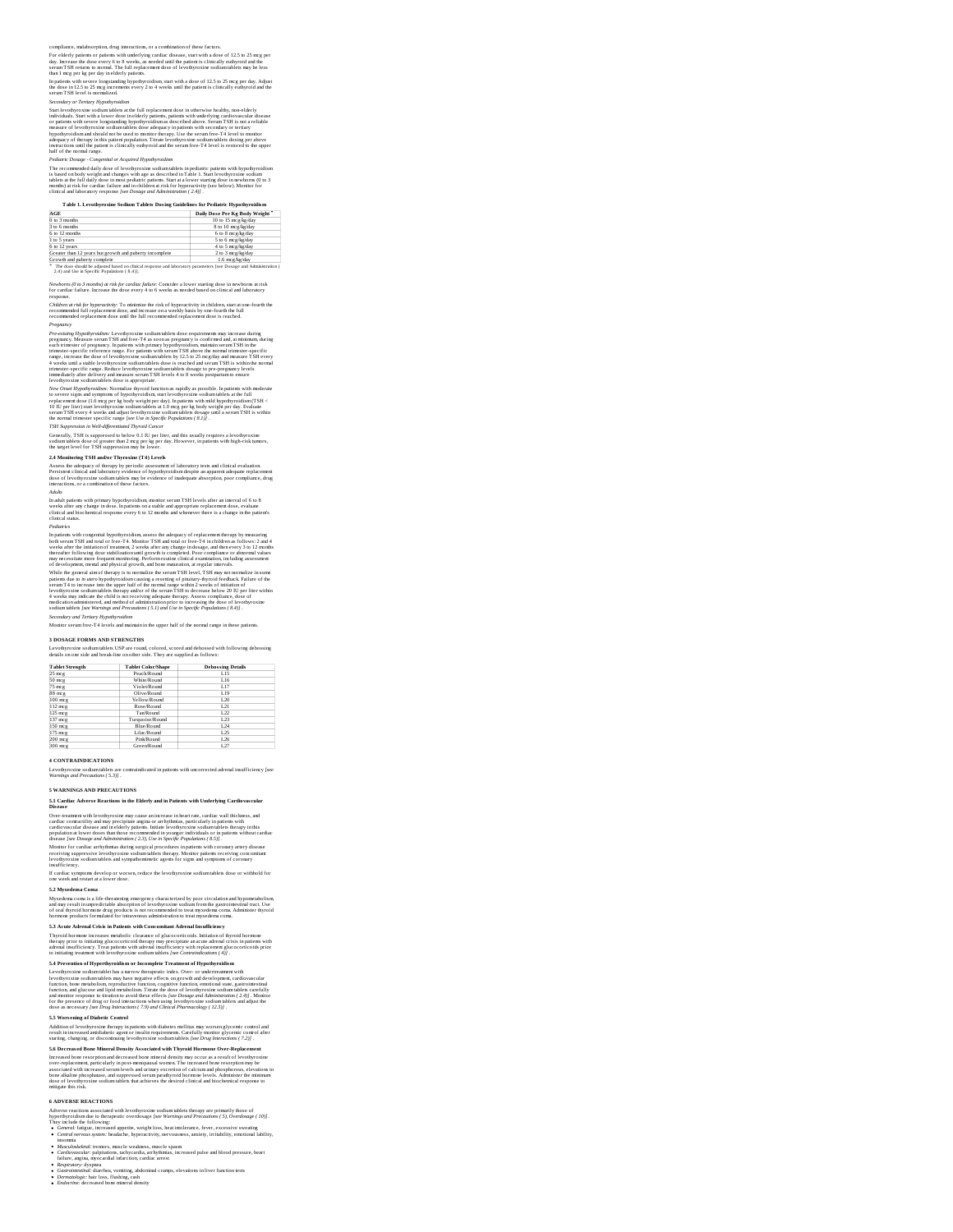tion, drug interactions, or a combination of these factors

For elderly patients or patients with underlying cardiac disease, start with a dose of 12.5 to 25 mcg per<br>day. Increase the dose every 6 to 8 weeks, as needed until the patient is clinically euthyroid and the<br>serum TSH ret

In patients with severe longstanding hypothyroidism, start with a dose of 12.5 to 25 m;g per day. Adjust<br>the dose in 12.5 to 25 m;g increments every 2 to 4 weeks until the patient is clinically euthyroid and the<br>serum TSH

Secondary or Terriary Hypothyroidson<br>Secondary or Terriary Hypothyroidson and the full replacement dose in otherwise healthy, non-elderly<br>individuals. Start with a lower dose in elderly positests, pointers, with unterlying

Pediaric Dosage - Congenital or Acquired Hypodyrosidsm<br>The recommended daily dose of levels/rovate sodium tablets in pediaric patients with hypodyroaidsm<br>is based on body weight and changes with age as described in Table 1

| Table 1. Levothyroxine Sodium Tablets Dosing Guidelines for Pediatric Hypothyroidism |                               |
|--------------------------------------------------------------------------------------|-------------------------------|
| AGE                                                                                  | Daily Dose Per Kg Body Weight |
| 0 to 3 months                                                                        | 10 to 15 mcg/kg/day           |
| 3 to 6 months                                                                        | 8 to 10 mcg/kg/day            |
| 6 to 12 months                                                                       | 6 to 8 mcg/kg/day             |
| 1 to 5 years                                                                         | 5 to 6 mcg/kg/day             |
| 6 to 12 years                                                                        | 4 to 5 mcg/kg/day             |
| Greater than 12 years but growth and puberty incomplete                              | 2 to 3 mcg/kg/day             |
| Growth and puberty complete                                                          | 1.6 mcg/kg/day                |

Growth and puberty complete<br>\* The dose should be adjusted based on clinical response and laboratory parameters [see Dosage and Administration (<br>2.4 ) and Use in Specific Populations ( 8.4 )].

Newborns (0 to 3 months) at risk for cardiac failure: Consider a lower starting dose in newborns at risk<br>for cardiac failure. Increase the dose every 4 to 6 weeks as needed based on clinical and laboratory<br>response.

Children at risk for hyperactivity: To minimize the risk of hyperactivity in children, start at one-fourth the<br>recommended full replacement dose, and increase on a weekly basis by one-fourth the full<br>recommended replacemen

Proposition of productions in the state of the state of the state and the state and the presence in the state and the state and the state in the state in the state in the state in the state in the state in the state in th

Assess the adequacy of therapy by periodic assessment of laboratory tests and clinical evaluation.<br>Persistent clinical and laboratory evidence of hypothyroidism despite an apparent adequate replacement<br>dose of levothyroxin

Adults<br>In adult patients with primary hypothyroidism, monitor serum TSH levels after an interval of 6 to 8<br>veeks after any change in dose. In patients on a stable and appropriate replacement dose, evaluate<br>clinical and bio

Pediants<br>as the matrix of the competent of the product and the state of the competent of the state of the competent<br>and the state of the state of the state of the state of the state of the<br>state weeks after the initiation

While the general ainto therapy is to normalize the serum TSH level, TSH may not normalize in some<br>painters due to in neuro hypothyroidism canning a resenting of pluttary-flyroid feedback. Failure of the<br>painters due to in

### **3 DOSAGE FORMS AND STRENGTHS**

Levothyroxine sodium tablets USP are round, colored, scored and debossed with following debossing details on one side and break-line on other side. They are supplied as follows:

| <b>Tablet Strength</b> | <b>Tablet Color/Shape</b> | <b>Debossing Details</b> |
|------------------------|---------------------------|--------------------------|
| 25 meg                 | Peach/Round               | 1.15                     |
| $50$ meg               | White/Round               | L16                      |
| 75 mcg                 | Violet/Round              | 1.17                     |
| $88$ mcg               | Olive/Round               | 1.19                     |
| $100$ meg              | <b>Yellow/Round</b>       | 1.20                     |
| $112$ meg              | Rose/Round                | 1.21                     |

125 mcg 122 137 mcg Turquoise/Round L23 150 mcg Blue/Round L24 175 mcg L25 200 mcg L26

300 mcg Green/Round L27 **4 CONTRAINDICATIONS**

Levothyroxine sodium tablets are contraindicated in patients with uncorrected adrenal insufficiency *[see Warnings and Precautions ( 5.3)]* .

**5 WARNINGS AND PRECAUTIONS**

5.1 Cardiac Adverse Reactions in the Elderly and in Patients with Underlying Cardiovascular<br>Disease

Over-treamment with levothyroxine may cause an increase in heart rate, cardiac wall thickness, and<br>cardiac contractility and may precipitate angina or arrhythmias, particularly in patients with<br>cardiovascular disease and i

disease [see Dosage and Administration (2.3), Use in Specific Populations (8.5)] .<br>Monitor for cardiac arrhythmiss during surgical procedures in patients with coronary artery disease<br>lecciving suppressive levothyroxine sod If cardiac symptoms develop or worsen, reduce the levothyroxine sodium tablets dose or withhold for<br>one week and restart at a lower dose.

### **5.2 Myxedema Coma**

Myxedema coma is a life-dreatering emergency characterized by poor circulation and hypometabolism,<br>and may result in unpredictable absorption of levothyroxine sodium from the gastrointestinal tract. Use<br>of oral shyroid hor

5.3 Acute Adrenal Crisis in Patients with Concomitant Adrenal Insufficiency<br>Thyroid hormore increases meabolic clearance of glucecorricoids. Initiation of thyroid hormore<br>therapy prior to initiating glucecorticoid therapy

5.4 Prevention of Hyperubyrosis<br>Level and the content of the content of the content of the content of the content<br>Level projection is continued by the content of the content of the content of<br>the content of the content of

5.5 Worsening of Diabetic Control<br>Addition of levolnyroxine therapy in patients with diabetes mellitus may worsen glycemic control and<br>result in increased antidiabetic agent or insulin requirements. Carefully monitor glyce

**5.6 Decreas ed Bone Mineral Density Associated with Thyroid Hormone Over-Replacement** Increased bone resorption and decreased bone miseral density may occur as a result of levodynoxies<br>over-replacement, particularly in post-mempataal women. The increased bone resorption may be<br>associated with increased seru

### **6 ADVERSE REACTIONS**

Adverse reactions associated with levothy<br>roxies documentalism due to the rapid property of the comparison of the<br>property of the comparison of the comparison of the comparison of the<br>property include the following:<br>
Cont

- 
- insomia<br>incomia<br>Afonciolodedul: tremors, maccle weakness, muscle spasm<br>failure, anglus, myocardial infaction, cardiac arress;<br>incomia del polo anglus anglus anglus anglus anglus anglus anglus anglus anglus anglus anglus<br>Re
- 
- 
-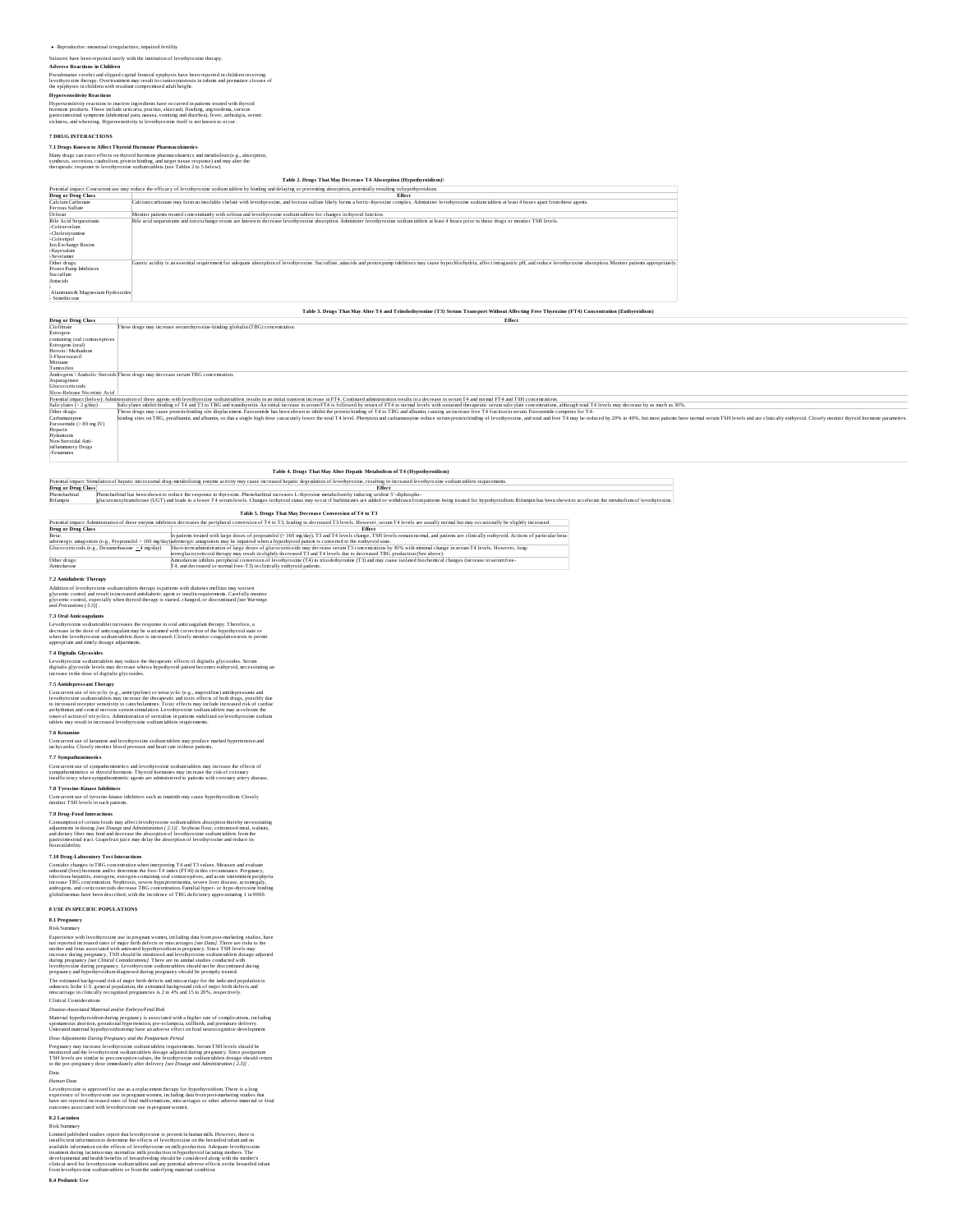Seizures have been reported rarely with the institution of levothyroxine therapy. **Advers e Reactions in Children**

Pseudotumor cerebri and slipped capital femoral epiphysis have been reported in children receiving<br>levothyroxine therapy. Overtreatment may result in craniosynostosis in infants and premature closure of<br>the epiphyses in ch

Hypersensitivity reactions to inactive ingredienss have occurred in patients treated with thyroid<br>hormone products. These include urticaria, pruritus, skin rash, flushing, angioedema, various<br>gastrointestinal symptoms (abd

**7 DRUG INTERACTIONS**

7**.1 Drugs Known to Affect Thyroid Hormone Pharmacokinetics**<br>Many drugs can exert effects on thyroid hormone pharmacokinetics and metabolism (e.g., absorption,<br>symbesis, secretion, catabolism, protein binding, and target t

|                                                                                                                                     | Table 2. Drugs That May Decrease T4 Absorption (Hypothyroidism)\                                                                                                                                                              |
|-------------------------------------------------------------------------------------------------------------------------------------|-------------------------------------------------------------------------------------------------------------------------------------------------------------------------------------------------------------------------------|
|                                                                                                                                     | Potential impact: Concurrent use may reduce the efficacy of levothyroxine sodium tablets by binding and delaying or preventing absorption, potentially resulting in hypothyroidism.                                           |
| Drug or Drug Class                                                                                                                  | Effect                                                                                                                                                                                                                        |
| Calcium Carbonate<br>Ferrous Sulfate                                                                                                | Calcium carbonate may form an insoluble chelate with levothyroxine, and ferrous sulfate likely forms a ferric-thyroxine complex. Administer levothyroxine sodium tablets at least 4 hours apart from these agents.            |
| Orlistat                                                                                                                            | Monitor patients treated concomitantly with orlistat and levothyroxine sodium tablets for changes in thyroid function.                                                                                                        |
| <b>Bile Acid Sequestrants</b><br>-Colesevelam<br>-Cholestyramine<br>-Colestipol<br>Ion Exchange Resins<br>-Kayexalate<br>-Sevelamer | Bile acid sequestrants and ion exchange resins are known to decrease levothyroxine absorption. Administer levothyroxine sodium tablets at least 4 hours prior to these drugs or monitor TSH levels.                           |
| Other drugs:<br>Proton Pump Inhibitors<br>Sucralfate<br>Antacids<br>Aluminum & Magnesium Hydroxides<br>- Simethicone                | Gastric acidity is an essential requirement for adequate absorption of levothyroxine. Sucralfate, antacids and proton pump inhibitors may cause hypochlorhydria, affect intragastric pH, and reduce levothyroxine absorption. |

Table 3. Drugs That May Alter T4 and Triiodothyronine (T3) Serum Transport Without Affecting Free Thyroxine (FT4) Concentration (Euthyroidism)

| Drug or Drug Class             | Effect                                                                                                                                                                                                                         |
|--------------------------------|--------------------------------------------------------------------------------------------------------------------------------------------------------------------------------------------------------------------------------|
| Clofibrate                     | These drugs may increase serum thyroxine-binding globulin (TBG) concentration.                                                                                                                                                 |
| Estrogen-                      |                                                                                                                                                                                                                                |
| containing oral contraceptives |                                                                                                                                                                                                                                |
| Estrogens (oral)               |                                                                                                                                                                                                                                |
| Heroin/Methadone               |                                                                                                                                                                                                                                |
| 5-Fluorouracil                 |                                                                                                                                                                                                                                |
| Mitotane                       |                                                                                                                                                                                                                                |
| Tamoxifen                      |                                                                                                                                                                                                                                |
|                                | Androgens / Anabolic Steroids These drugs may decrease serum TBG concentration.                                                                                                                                                |
| Asparaginase                   |                                                                                                                                                                                                                                |
| Glucocorticoids                |                                                                                                                                                                                                                                |
| Slow-Release Nicotinic Acid    |                                                                                                                                                                                                                                |
|                                | Potential impact (below): Administration of these agents with levothyroxine sodium tablets results in an initial transient increase in FT4. Continued administration results in a decrease in serum T4 and normal FT4 and TSH  |
| Salicylates (> 2 g/day)        | Salicylates inhibit binding of T4 and T3 to TBG and transthyretin. An initial increase in serum FT4 is followed by return of FT4 to normal levels with sustained therapeutic serum salicylate concentrations, although total T |
| Other drugs:                   | These drugs may cause protein-binding site displacement. Furosemide has been shown to inhibit the protein binding of T4 to TBG and albumin, causing an increase free T4 fraction in serum. Furosemide connetes for T4-         |
| Carbamazepine                  | binding sites on TBG, prealbumin, and albumin, so that a single high dose can acutely lower the total T4 level. Phenytoin and carbamazepine reduce serum protein binding of levothyroxine, and total and free T4 may be reduce |
| Furosemide (> 80 mg IV)        |                                                                                                                                                                                                                                |
| Heparin<br>Hydantoins          |                                                                                                                                                                                                                                |
|                                |                                                                                                                                                                                                                                |
| Non-Steroidal Anti-            |                                                                                                                                                                                                                                |
| inflammatory Drugs             |                                                                                                                                                                                                                                |
| -Fenamates                     |                                                                                                                                                                                                                                |

**Table 4. Drugs That May Alter Hepatic Metabolism of T4 (Hypothyroidism)**

Potential impact: Stimulation of hepatic microsomal drug-metabolizing enzyme activity may cause increased hepatic degradation of levothyroxine, resulting in increased levothyroxine sodium tablets requirements. **Drug or Drug Class Effect** Phenobarbital enshown to reduce the response to thy<br>ase (HGT) and leads to a lower T4 ser

**Table 5. Drugs That May Decreas e Conversion of T4 to T3**

|                                                  | Potential impact: Administration of these enzyme inhibitors decreases the peripheral conversion of T4 to T3, leading to decreased T3 levels. However, serum T4 levels are usually normal but may occasionally be slightly incr |
|--------------------------------------------------|--------------------------------------------------------------------------------------------------------------------------------------------------------------------------------------------------------------------------------|
| Drug or Drug Class                               | <b>Effect</b>                                                                                                                                                                                                                  |
| Beta-                                            | In patients treated with large doses of propranolol (> 160 mg/day), T3 and T4 levels change, TSH levels remain normal, and patients are clinically euthyroid. Actions of particular beta-                                      |
|                                                  | adrenergic antagonists (e.g., Propranolol > 160 mg/day)adrenergic antagonists may be impaired when a hypothyroid patient is converted to the euthyroid state.                                                                  |
| Glucocorticoids (e.g., Dexamethasone > 4 mg/day) | Short-term administration of large doses of glucocorticoids may decrease serum T3 concentrations by 30% with minimal change in serum T4 levels. However, long-                                                                 |
|                                                  | term glucocorticoid therapy may result in slightly decreased T3 and T4 levels due to decreased TBG production (See above).                                                                                                     |
| Other drugs:                                     | Amiodarone inhibits peripheral conversion of levothyroxine (T4) to triiodothyronine (T3) and may cause isolated biochemical changes (increase in serum free-                                                                   |
| Amiodarone                                       | T4, and decreased or normal free-T3) in clinically euthyroid patients.                                                                                                                                                         |

**7.2 Antidiabetic Therapy**

Addition of levothyroxine sodium tablets therapy in patients with diabetes mellitus may worsen<br>glycemic control and result in increased antidiabetic agent or insulin requirements. Carefully monitor<br>glycemic control, especi

7.3 Oral Anticoagulants<br>Levoblyroxies sodiumublet increases the response to oral anticoagulant therapy. Therefore, a<br>decrease in the dose of anticoagulant may be warranted with correction of the hypothyroid state or<br>when t

7.4 Digitalis Glycosides<br>Levothyroxine sodium tablets may reduce the therapeutic effects of digitalis glycosides. Serum<br>digitalis glycoside levels may decrease when a hypothyroid patient becomes euthyroid, necessitating an

7.5 Antifepressant Therapy (e.g., mitripyline) or tenacyclic (e.g., maprosiline) antidepressants and<br>Concurrent use of tricyclic (e.g., antiripyline) or tenacyclic (e.g., maprosiline) antidepressants and<br>in increased recep

# **7.6 Ketamine**

Concurrent use of ketamine and levothyroxine sodium tablets may produce marked hypertension and tachycardia. Closely monitor blood pressure and heart rate in these patients.

# **7.7 Sympathomimetics**

Concurrent use of sympathomimetics and levothyroxine sodium tablets may increase the effects of<br>sympathomimetics or thyroid hormone. Thyroid hormones may increase the risk of coronary<br>insufficiency when sympathomimetic age

**7.8 <b>Tyrosine-Kinase Inhibitors**<br>Concurrent use of tyrosine-kinase inhibitors such as imatinib may cause hypothyroidism. Closely<br>monitor TSH levels in such patients.

7.9 Drug-Food Interactions<br>Consumption of certain foods may affect levothyroxine sodium tablets absorption thereby necessituing<br>adjustments in docing (see Docago and Administration (2.1). Sovjessa floodsmess class, waltums

7.10 Drug-Laboratory Test Interaccions<br>he in the Constant Constant Constant Constant Constant Constant Constant<br>method (free hormor and/or determine the free-74 interact Free Lynn and Constant Creepancy,<br>infections hepatif

**R** USE IN SPECIFIC POPULATIONS<br>
AT HARD SECTION CONTINUES AND MOST CONTINUES IN THE SECTION OF THE STATE INTO THE STATE IN EXPRESSION EXPRESSION EXPRESSION EXPRESSION EXPRESSION EXPRESSION EXPRESSION EXPRESSION EXPRESSION

Disoure-Associated Moternul and/or EmbyoFerd State<br>Moternul hypoftyroidinal daring pregnancy is associated with a higher rate of complications, including<br>Moternul hypoftyroidism daring pregnancy is associated with a highe

8.2 Lectados<br>Risk Summary<br>Risk Summary<br>Risk Summary<br>Risk Summary<br>Institute and the record of the constraints in the second relation of the state of policies<br>institute in the state of the state of levelay<br>revision and the p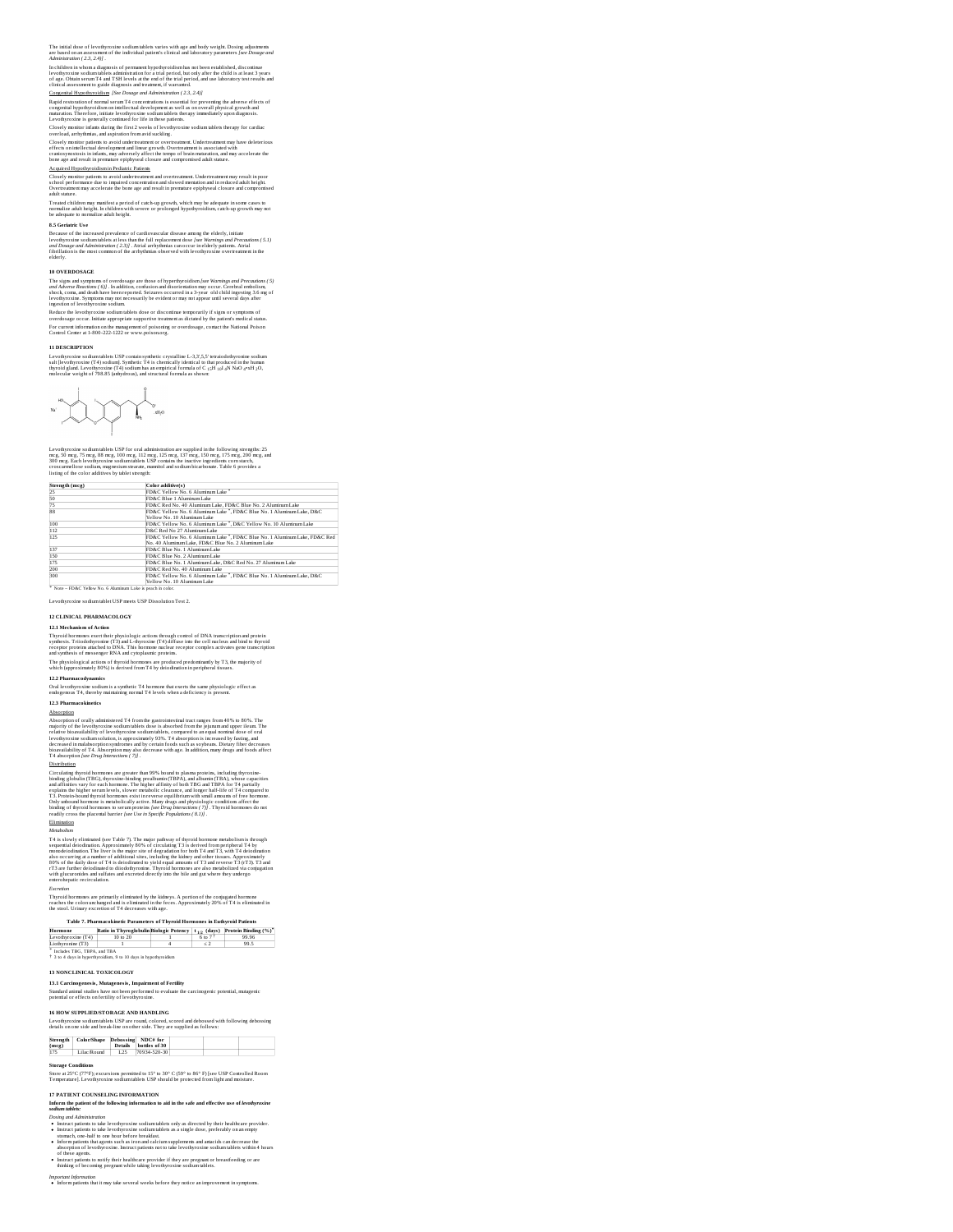The initial dose of levothyroxine sodium tablets varies with age and body weight. Dosing adjustments<br>are based on an assessment of the individual patient's clinical and laboratory parameters [see Dosage and<br>Administration

In children in whom a diagnosis of permunent hypothyroidism has not been established, discontinue<br>levothyroxine sodium tablets administration for a trial period, but only after the child is at least 3 years<br>of age. Obtain

Contextial Maxednavadian (Net Dowaye ond Administration) (23, 2.45)<br>Rapid restoration of normal serum T4 c oncentrations is essential (or preventing the adverse effects of<br>congenial hypodiyendism on intellectual developmen

Closely monitor parisents to avoid undertextment or overtreatment Undertreatment may have deleterious effects on intellectual development and linear growth. Overtreatment is socciated with<br>effects on intellectual developme

Treated children may manifest a period of catch-up growth, which may be adequate in some cases to<br>normalize adult height. In children with severe or prolonged hypothyroidism, catch-up growth may not<br>be adequate to normaliz

8.5 Gerätaric Use<br>Because of the increased prevalence of cardiovascular disease among the elderly, initiate<br>levoluyroxium sodium tables at leas than the full replacement dose (see Worming and Precunitors (5.1)<br>and Drosoge

### **10 OVERDOSAGE**

The signs and symptoms of overdosage are those of hyperthyroidism faee Wormings and Precentions (5)<br>and Adverse Reactions (6)] . In addition, confusion and disorieratation may occur. Cerebral embolism,<br>shock, coma, and dea

Reduce the levothyroxine sodium tablets dose or discontinue temporarily if signs or symptoms of<br>overdosage occur. Initiate appropriate supportive treatment as dictated by the patient's medical status.<br>For current informati

### **11 DESCRIPTION**

Levothyroxine sodium tablets USP contain symbreis crystalline L-3,3°,5,5" tertaiodothyronine sodium<br>salt [levothyroxine (T4) sodium]. Synthetic T4 is chemically identical to that produced in the human<br>thyroid gland. Levoth

$$
\mathbf{u}^{\text{max}} = \mathbf{u}^{\text{max}} + \mathbf{u}^{\text{max}} + \mathbf{u}^{\text{max}}
$$

Levothyroxine sodium tables USP for oral administration are supplied in the following strengths: 25<br>mrg, 5.0 mrg, 75 mrg, 8.8 mrg, 100 mrg, 112 mrg, 125 mrg, 137 mrg, 150 mrg, 175 mrg, 200 mrg, 200<br>300 mrg. Each levothyrox

| Strength (mcg) | Color additive(s)                                                                                                                 |
|----------------|-----------------------------------------------------------------------------------------------------------------------------------|
| 25             | FD&C Yellow No. 6 Aluminum Lake                                                                                                   |
| 50<br>75       | FD&C Blue 1 Aluminum Lake                                                                                                         |
|                | FD&C Red No. 40 Aluminum Lake, FD&C Blue No. 2 Aluminum Lake                                                                      |
| 88             | FD&C Yellow No. 6 Aluminum Lake ", FD&C Blue No. 1 Aluminum Lake, D&C<br>Yellow No. 10 Aluminum Lake                              |
| 100            | FD&C Yellow No. 6 Aluminum Lake ". D&C Yellow No. 10 Aluminum Lake                                                                |
| 112<br>125     | D&C Red No 27 Aluminum Lake                                                                                                       |
|                | FD&C Yellow No. 6 Aluminum Lake ", FD&C Blue No. 1 Aluminum Lake, FD&C Red<br>No. 40 Aluminum Lake, FD&C Blue No. 2 Aluminum Lake |
| 137            | FD&C Blue No. 1 Aluminum Lake                                                                                                     |
| 150            | FD&C Blue No. 2 Aluminum Lake                                                                                                     |
| 175            | FD&C Blue No. 1 Aluminum Lake, D&C Red No. 27 Aluminum Lake                                                                       |
| 200            | FD&C Red No. 40 Aluminum Lake                                                                                                     |
| 300            | FD&C Yellow No. 6 Aluminum Lake *. FD&C Blue No. 1 Aluminum Lake, D&C                                                             |
|                | Yellow No. 10 Aluminum Lake                                                                                                       |

Levothyroxine sodium tablet USP meets USP Dissolution Test 2.

**12 CLINICAL PHARMACOLOGY**

T2J. Mechanism of Action<br>Thyroid hormones exert their physiologic actions through control of DNA transcription and protein<br>responses Transchapponing (T3) and L-dryoxine (T4) diffuse into the cell mechanism and bird to thyr

**12.2 Pharmacodynamics**<br>Oral levothyroxine sodium is a synthetic T4 hormone that exerts the same physiologic effect as<br>endogenous T4, thereby maintaining normal T4 levels when a deficiency is present.

# **12.3 Pharmacokinetics**

Absorption of orally administered T4 from<br>the gastroinnessinal tract ranges from 40% to B0%. The majority of the level<br>why majority of the level with the state is absorbed from the jejinum and upper litem. The<br>relative bi

Circularing throvid hormoes are greater than 97% bound to plasma proving, including throvides<br>bounding plobain (TBC), throvides handled preachasing the space of the<br>space space space of the space section of the space of t

# Elimination

Metabolism<br>The Showly eliminated (see Table 7). The major pathway of thyroid hormone metabolism is through<br>A risk slowly eliminated (see Table 7). The major state of the state of the state of the state of the state of<br>abov

Thyroid hormones are primarily eliminated by the kidneys. A portion of the conjugated hormone<br>reaches the colon unchanged and is eliminated in the feces. Approximately 20% of ⊤4 is eliminated in<br>the stool. Urinary excreti

|  | the stool, UTIMPY excretion of 14 decreases |  |  |
|--|---------------------------------------------|--|--|
|  |                                             |  |  |
|  |                                             |  |  |

|                               | Table 7. Pharmacokinetic Parameters of Thyroid Hormones in Euthyroid Patients          |         |       |
|-------------------------------|----------------------------------------------------------------------------------------|---------|-------|
| Hormone                       | Ratio in Thyroglobulin Biologic Potency   t <sub>1/2</sub> (days) Protein Binding (%)* |         |       |
| Levothyroxine (T4)            | 10 to 20                                                                               | 6 to 71 | 99.96 |
| Liothyronine (T3)             |                                                                                        | < 2     | 99.5  |
| * Includes TBG, TBPA, and TBA |                                                                                        |         |       |
|                               | <sup>†</sup> 3 to 4 days in hyperthyroidism. 9 to 10 days in hypothyroidism            |         |       |

**13 NONCLINICAL TOXICOLOGY**

**13.1 Carcinogenesis, Mutagenesis, Impairment of Fertility**

Standard animal studies have not been performed to evaluate the carcinogenic potential, mutagenic<br>potential or effects on fertility of levothyroxine.

### **16 HOW SUPPLIED/STORAGE AND HANDLING**

Levothyroxine sodium tablets USP are round, colored, scored and debossed with following debossing details on one side and break-line on other side. They are supplied as follows:

| (mce) | Strength   Color/Shape Debossing NDC# for |      | Details bottles of 30 |  |
|-------|-------------------------------------------|------|-----------------------|--|
| 175   | Lilac/Round                               | 1.25 | 70934-520-30          |  |

# **Storage Conditions**

Store at 25°C (77°F); excursions permitted to 15° to 30° C (59° to 86° F) [see USP Controlled Room Temperature]. Levothyroxine sodium tablets USP should be protected from light and moisture.

╅

- IP PATTENT COUNSELING INTO TANDATION<br>  $\mathbf{A}$  and  $\mathbf{B}$  and  $\mathbf{B}$  and  $\mathbf{B}$  and  $\mathbf{B}$  and  $\mathbf{B}$  and  $\mathbf{B}$  and<br>  $\mathbf{B}$  and  $\mathbf{B}$  and  $\mathbf{B}$  and  $\mathbf{B}$  and  $\mathbf{B}$  and  $\mathbf{B}$  and<br>  $\mathbf{B}$  and
- 
- Instruct patients to notify their healthcare provider if they are pregnant or breastfeeding or are thinking of becoming pregnant while taking levothyroxine sodium tablets.
- 

*Important Information* Inform patients that it may take several weeks before they notice an improvement in symptoms.